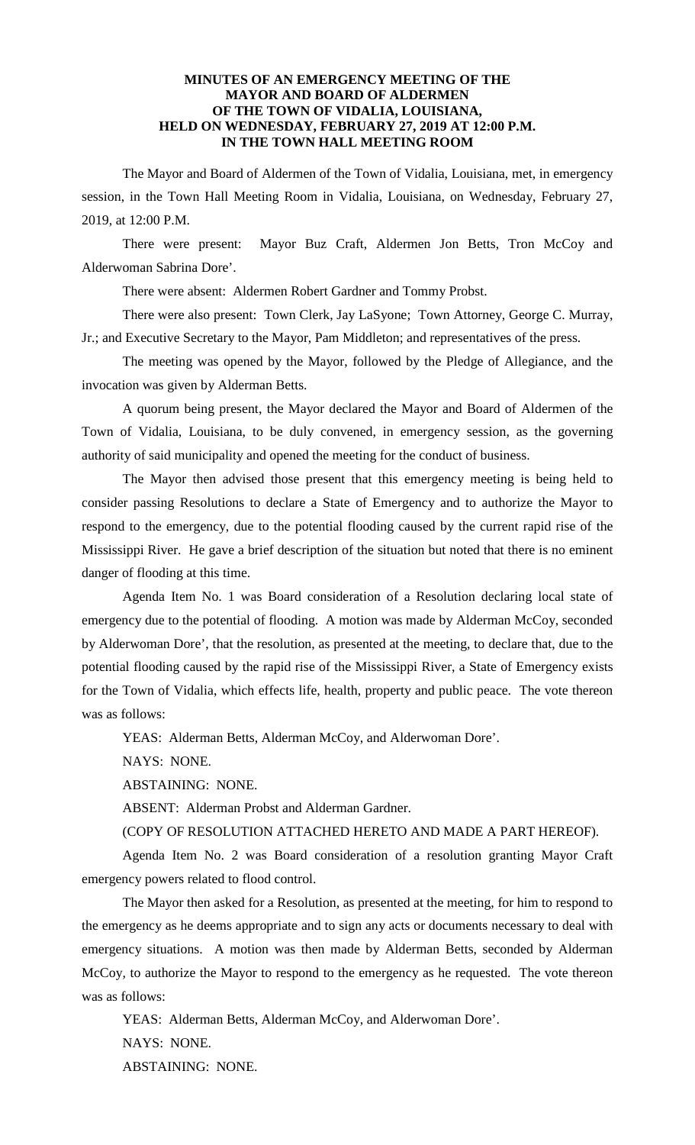## **MINUTES OF AN EMERGENCY MEETING OF THE MAYOR AND BOARD OF ALDERMEN OF THE TOWN OF VIDALIA, LOUISIANA, HELD ON WEDNESDAY, FEBRUARY 27, 2019 AT 12:00 P.M. IN THE TOWN HALL MEETING ROOM**

The Mayor and Board of Aldermen of the Town of Vidalia, Louisiana, met, in emergency session, in the Town Hall Meeting Room in Vidalia, Louisiana, on Wednesday, February 27, 2019, at 12:00 P.M.

There were present: Mayor Buz Craft, Aldermen Jon Betts, Tron McCoy and Alderwoman Sabrina Dore'.

There were absent: Aldermen Robert Gardner and Tommy Probst.

There were also present: Town Clerk, Jay LaSyone; Town Attorney, George C. Murray, Jr.; and Executive Secretary to the Mayor, Pam Middleton; and representatives of the press.

The meeting was opened by the Mayor, followed by the Pledge of Allegiance, and the invocation was given by Alderman Betts.

A quorum being present, the Mayor declared the Mayor and Board of Aldermen of the Town of Vidalia, Louisiana, to be duly convened, in emergency session, as the governing authority of said municipality and opened the meeting for the conduct of business.

The Mayor then advised those present that this emergency meeting is being held to consider passing Resolutions to declare a State of Emergency and to authorize the Mayor to respond to the emergency, due to the potential flooding caused by the current rapid rise of the Mississippi River. He gave a brief description of the situation but noted that there is no eminent danger of flooding at this time.

Agenda Item No. 1 was Board consideration of a Resolution declaring local state of emergency due to the potential of flooding. A motion was made by Alderman McCoy, seconded by Alderwoman Dore', that the resolution, as presented at the meeting, to declare that, due to the potential flooding caused by the rapid rise of the Mississippi River, a State of Emergency exists for the Town of Vidalia, which effects life, health, property and public peace. The vote thereon was as follows:

YEAS: Alderman Betts, Alderman McCoy, and Alderwoman Dore'.

NAYS: NONE.

ABSTAINING: NONE.

ABSENT: Alderman Probst and Alderman Gardner.

(COPY OF RESOLUTION ATTACHED HERETO AND MADE A PART HEREOF).

Agenda Item No. 2 was Board consideration of a resolution granting Mayor Craft emergency powers related to flood control.

The Mayor then asked for a Resolution, as presented at the meeting, for him to respond to the emergency as he deems appropriate and to sign any acts or documents necessary to deal with emergency situations. A motion was then made by Alderman Betts, seconded by Alderman McCoy, to authorize the Mayor to respond to the emergency as he requested. The vote thereon was as follows:

YEAS: Alderman Betts, Alderman McCoy, and Alderwoman Dore'. NAYS: NONE. ABSTAINING: NONE.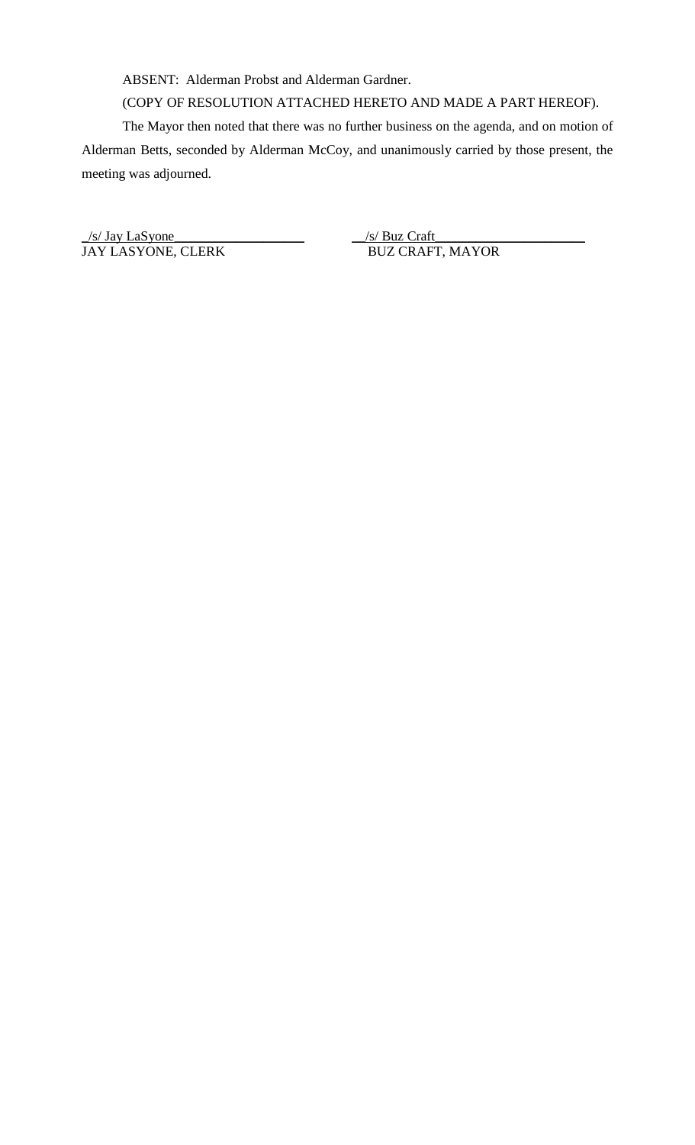ABSENT: Alderman Probst and Alderman Gardner.

(COPY OF RESOLUTION ATTACHED HERETO AND MADE A PART HEREOF).

The Mayor then noted that there was no further business on the agenda, and on motion of Alderman Betts, seconded by Alderman McCoy, and unanimously carried by those present, the meeting was adjourned.

 $\frac{1}{s}$  Jay LaSyone JAY LASYONE, CLERK BUZ CRAFT, MAYOR

 $\frac{|s|}{|BUC}$  Craft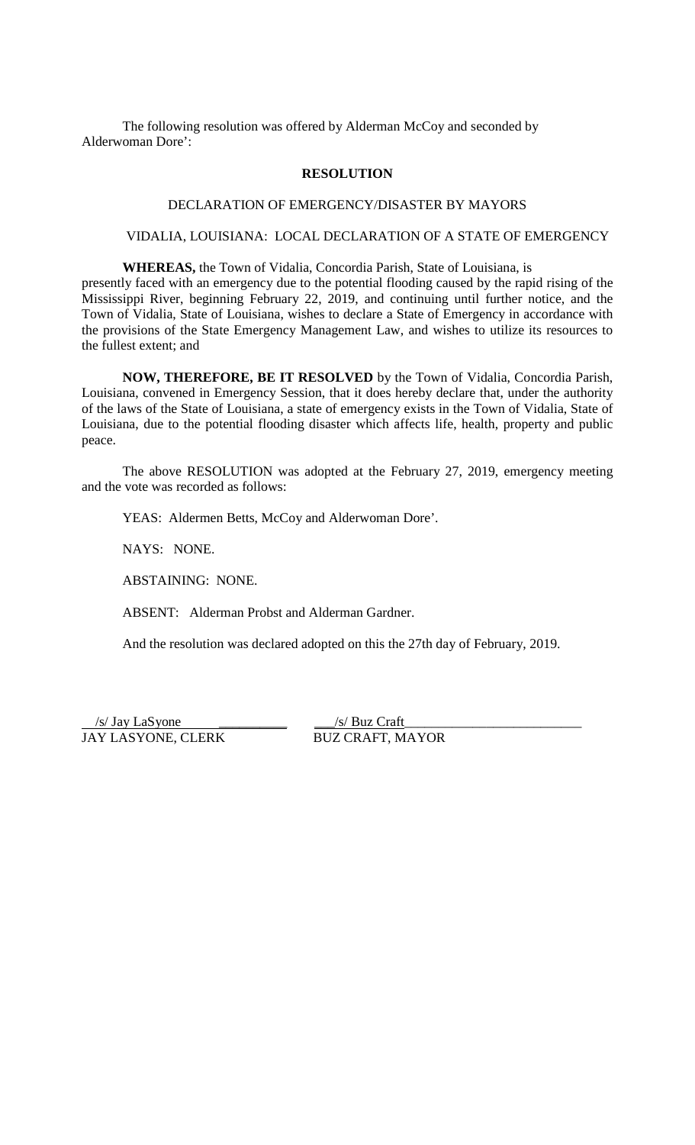The following resolution was offered by Alderman McCoy and seconded by Alderwoman Dore':

## **RESOLUTION**

## DECLARATION OF EMERGENCY/DISASTER BY MAYORS

# VIDALIA, LOUISIANA: LOCAL DECLARATION OF A STATE OF EMERGENCY

**WHEREAS,** the Town of Vidalia, Concordia Parish, State of Louisiana, is

presently faced with an emergency due to the potential flooding caused by the rapid rising of the Mississippi River, beginning February 22, 2019, and continuing until further notice, and the Town of Vidalia, State of Louisiana, wishes to declare a State of Emergency in accordance with the provisions of the State Emergency Management Law, and wishes to utilize its resources to the fullest extent; and

**NOW, THEREFORE, BE IT RESOLVED** by the Town of Vidalia, Concordia Parish, Louisiana, convened in Emergency Session, that it does hereby declare that, under the authority of the laws of the State of Louisiana, a state of emergency exists in the Town of Vidalia, State of Louisiana, due to the potential flooding disaster which affects life, health, property and public peace.

The above RESOLUTION was adopted at the February 27, 2019, emergency meeting and the vote was recorded as follows:

YEAS: Aldermen Betts, McCoy and Alderwoman Dore'.

NAYS: NONE.

ABSTAINING: NONE.

ABSENT: Alderman Probst and Alderman Gardner.

And the resolution was declared adopted on this the 27th day of February, 2019.

 /s/ Jay LaSyone \_\_\_\_\_\_\_\_\_\_ \_\_\_/s/ Buz Craft JAY LASYONE, CLERK BUZ CRAFT, MAYOR

\_\_\_\_\_\_\_\_\_\_\_\_\_\_\_\_\_\_\_\_\_\_\_\_\_\_